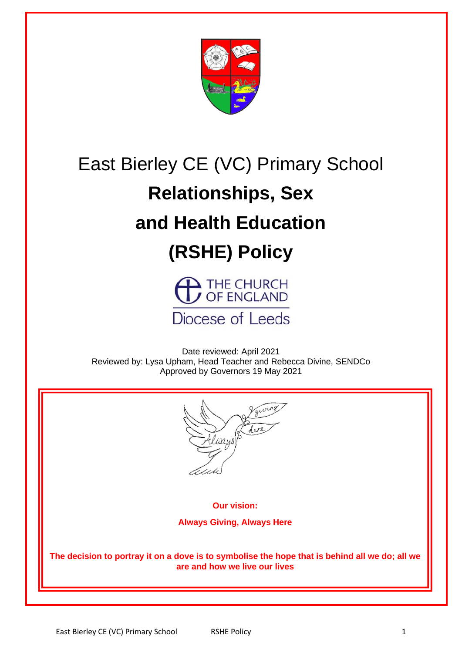

## East Bierley CE (VC) Primary School

# **Relationships, Sex**

## **and Health Education**

## **(RSHE) Policy**



Date reviewed: April 2021 Reviewed by: Lysa Upham, Head Teacher and Rebecca Divine, SENDCo Approved by Governors 19 May 2021



**Our vision:**

**Always Giving, Always Here**

**The decision to portray it on a dove is to symbolise the hope that is behind all we do; all we are and how we live our lives**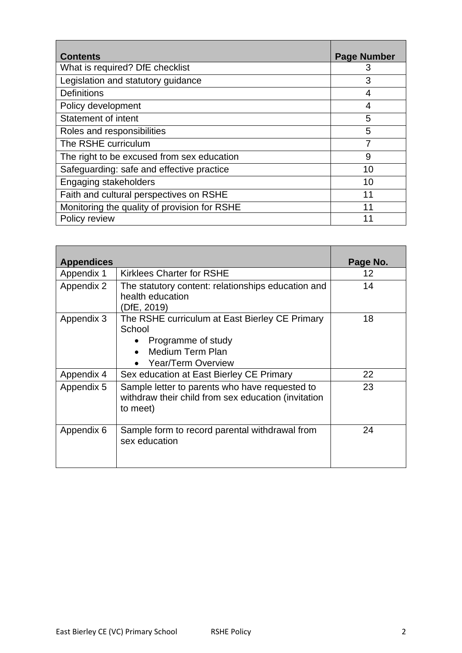| <b>Contents</b>                              | <b>Page Number</b> |
|----------------------------------------------|--------------------|
| What is required? DfE checklist              | 3                  |
| Legislation and statutory guidance           | 3                  |
| <b>Definitions</b>                           | 4                  |
| Policy development                           | 4                  |
| <b>Statement of intent</b>                   | 5                  |
| Roles and responsibilities                   | 5                  |
| The RSHE curriculum                          |                    |
| The right to be excused from sex education   | 9                  |
| Safeguarding: safe and effective practice    | 10                 |
| Engaging stakeholders                        | 10                 |
| Faith and cultural perspectives on RSHE      | 11                 |
| Monitoring the quality of provision for RSHE | 11                 |
| Policy review                                |                    |

| <b>Appendices</b> |                                                                                                                                                           | Page No. |
|-------------------|-----------------------------------------------------------------------------------------------------------------------------------------------------------|----------|
| Appendix 1        | <b>Kirklees Charter for RSHE</b>                                                                                                                          | 12       |
| Appendix 2        | The statutory content: relationships education and<br>health education<br>(DfE, 2019)                                                                     | 14       |
| Appendix 3        | The RSHE curriculum at East Bierley CE Primary<br>School<br>Programme of study<br>$\bullet$<br>Medium Term Plan<br>$\bullet$<br><b>Year/Term Overview</b> | 18       |
| Appendix 4        | Sex education at East Bierley CE Primary                                                                                                                  | 22       |
| Appendix 5        | Sample letter to parents who have requested to<br>withdraw their child from sex education (invitation<br>to meet)                                         | 23       |
| Appendix 6        | Sample form to record parental withdrawal from<br>sex education                                                                                           | 24       |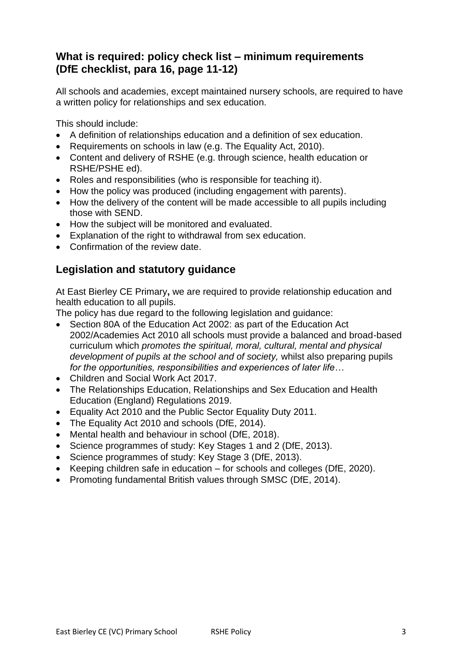## **What is required: policy check list – minimum requirements (DfE checklist, para 16, page 11-12)**

All schools and academies, except maintained nursery schools, are required to have a written policy for relationships and sex education.

This should include:

- A definition of relationships education and a definition of sex education.
- Requirements on schools in law (e.g. The Equality Act, 2010).
- Content and delivery of RSHE (e.g. through science, health education or RSHE/PSHE ed).
- Roles and responsibilities (who is responsible for teaching it).
- How the policy was produced (including engagement with parents).
- How the delivery of the content will be made accessible to all pupils including those with SEND.
- How the subject will be monitored and evaluated.
- Explanation of the right to withdrawal from sex education.
- Confirmation of the review date.

## **Legislation and statutory guidance**

At East Bierley CE Primary**,** we are required to provide relationship education and health education to all pupils.

The policy has due regard to the following legislation and guidance:

- Section 80A of the Education Act 2002: as part of the Education Act 2002/Academies Act 2010 all schools must provide a balanced and broad-based curriculum which *promotes the spiritual, moral, cultural, mental and physical development of pupils at the school and of society,* whilst also preparing pupils *for the opportunities, responsibilities and experiences of later life…*
- Children and Social Work Act 2017.
- The Relationships Education, Relationships and Sex Education and Health Education (England) Regulations 2019.
- Equality Act 2010 and the Public Sector Equality Duty 2011.
- The Equality Act 2010 and schools (DfE, 2014).
- Mental health and behaviour in school (DfE, 2018).
- Science programmes of study: Key Stages 1 and 2 (DfE, 2013).
- Science programmes of study: Key Stage 3 (DfE, 2013).
- Keeping children safe in education for schools and colleges (DfE, 2020).
- Promoting fundamental British values through SMSC (DfE, 2014).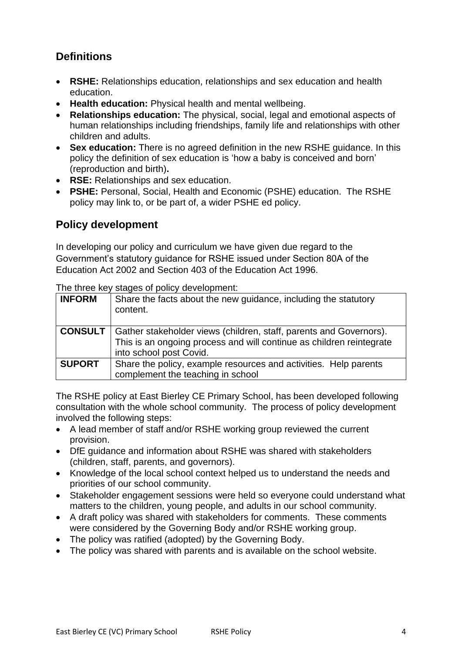## **Definitions**

- **RSHE:** Relationships education, relationships and sex education and health education.
- **Health education:** Physical health and mental wellbeing.
- **Relationships education:** The physical, social, legal and emotional aspects of human relationships including friendships, family life and relationships with other children and adults.
- **Sex education:** There is no agreed definition in the new RSHE guidance. In this policy the definition of sex education is 'how a baby is conceived and born' (reproduction and birth)**.**
- **RSE:** Relationships and sex education.
- **PSHE:** Personal, Social, Health and Economic (PSHE) education. The RSHE policy may link to, or be part of, a wider PSHE ed policy.

## **Policy development**

In developing our policy and curriculum we have given due regard to the Government's statutory guidance for RSHE issued under Section 80A of the Education Act 2002 and Section 403 of the Education Act 1996.

The three key stages of policy development:

| <b>INFORM</b>  | Share the facts about the new guidance, including the statutory<br>content.                                                                                           |
|----------------|-----------------------------------------------------------------------------------------------------------------------------------------------------------------------|
| <b>CONSULT</b> | Gather stakeholder views (children, staff, parents and Governors).<br>This is an ongoing process and will continue as children reintegrate<br>into school post Covid. |
| <b>SUPORT</b>  | Share the policy, example resources and activities. Help parents<br>complement the teaching in school                                                                 |

The RSHE policy at East Bierley CE Primary School, has been developed following consultation with the whole school community. The process of policy development involved the following steps:

- A lead member of staff and/or RSHE working group reviewed the current provision.
- DfE guidance and information about RSHE was shared with stakeholders (children, staff, parents, and governors).
- Knowledge of the local school context helped us to understand the needs and priorities of our school community.
- Stakeholder engagement sessions were held so everyone could understand what matters to the children, young people, and adults in our school community.
- A draft policy was shared with stakeholders for comments. These comments were considered by the Governing Body and/or RSHE working group.
- The policy was ratified (adopted) by the Governing Body.
- The policy was shared with parents and is available on the school website.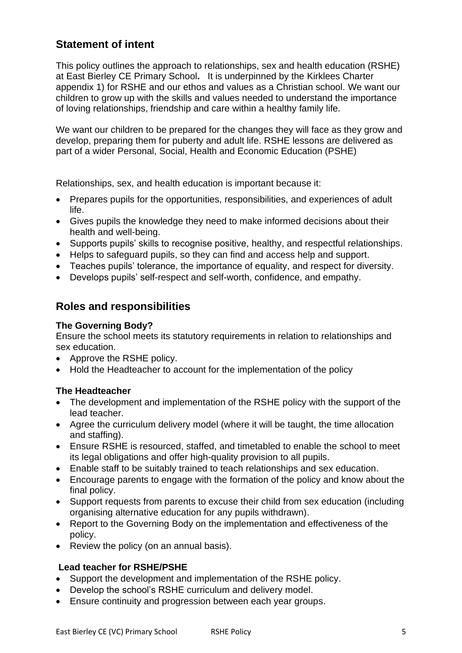## **Statement of intent**

This policy outlines the approach to relationships, sex and health education (RSHE) at East Bierley CE Primary School**.** It is underpinned by the Kirklees Charter appendix 1) for RSHE and our ethos and values as a Christian school. We want our children to grow up with the skills and values needed to understand the importance of loving relationships, friendship and care within a healthy family life.

We want our children to be prepared for the changes they will face as they grow and develop, preparing them for puberty and adult life. RSHE lessons are delivered as part of a wider Personal, Social, Health and Economic Education (PSHE)

Relationships, sex, and health education is important because it:

- Prepares pupils for the opportunities, responsibilities, and experiences of adult life.
- Gives pupils the knowledge they need to make informed decisions about their health and well-being.
- Supports pupils' skills to recognise positive, healthy, and respectful relationships.
- Helps to safeguard pupils, so they can find and access help and support.
- Teaches pupils' tolerance, the importance of equality, and respect for diversity.
- Develops pupils' self-respect and self-worth, confidence, and empathy.

## **Roles and responsibilities**

#### **The Governing Body?**

Ensure the school meets its statutory requirements in relation to relationships and sex education.

- Approve the RSHE policy.
- Hold the Headteacher to account for the implementation of the policy

#### **The Headteacher**

- The development and implementation of the RSHE policy with the support of the lead teacher.
- Agree the curriculum delivery model (where it will be taught, the time allocation and staffing).
- Ensure RSHE is resourced, staffed, and timetabled to enable the school to meet its legal obligations and offer high-quality provision to all pupils.
- Enable staff to be suitably trained to teach relationships and sex education.
- Encourage parents to engage with the formation of the policy and know about the final policy.
- Support requests from parents to excuse their child from sex education (including organising alternative education for any pupils withdrawn).
- Report to the Governing Body on the implementation and effectiveness of the policy.
- Review the policy (on an annual basis).

#### **Lead teacher for RSHE/PSHE**

- Support the development and implementation of the RSHE policy.
- Develop the school's RSHE curriculum and delivery model.
- Ensure continuity and progression between each year groups.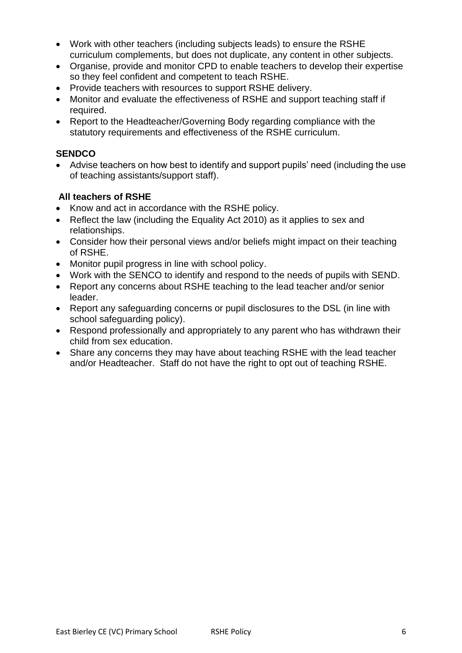- Work with other teachers (including subjects leads) to ensure the RSHE curriculum complements, but does not duplicate, any content in other subjects.
- Organise, provide and monitor CPD to enable teachers to develop their expertise so they feel confident and competent to teach RSHE.
- Provide teachers with resources to support RSHE delivery.
- Monitor and evaluate the effectiveness of RSHE and support teaching staff if required.
- Report to the Headteacher/Governing Body regarding compliance with the statutory requirements and effectiveness of the RSHE curriculum.

#### **SENDCO**

• Advise teachers on how best to identify and support pupils' need (including the use of teaching assistants/support staff).

#### **All teachers of RSHE**

- Know and act in accordance with the RSHE policy.
- Reflect the law (including the Equality Act 2010) as it applies to sex and relationships.
- Consider how their personal views and/or beliefs might impact on their teaching of RSHE.
- Monitor pupil progress in line with school policy.
- Work with the SENCO to identify and respond to the needs of pupils with SEND.
- Report any concerns about RSHE teaching to the lead teacher and/or senior leader.
- Report any safeguarding concerns or pupil disclosures to the DSL (in line with school safeguarding policy).
- Respond professionally and appropriately to any parent who has withdrawn their child from sex education.
- Share any concerns they may have about teaching RSHE with the lead teacher and/or Headteacher. Staff do not have the right to opt out of teaching RSHE.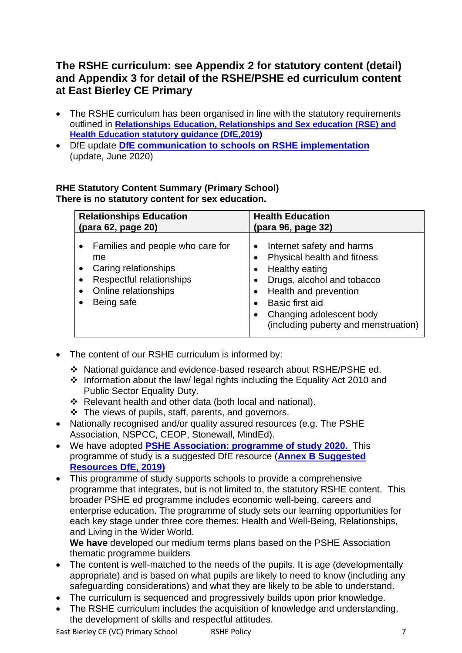## **The RSHE curriculum: see Appendix 2 for statutory content (detail) and Appendix 3 for detail of the RSHE/PSHE ed curriculum content at East Bierley CE Primary**

- The RSHE curriculum has been organised in line with the statutory requirements outlined in **[Relationships Education, Relationships and Sex education \(RSE\) and](https://www.gov.uk/government/publications/relationships-education-relationships-and-sex-education-rse-and-health-education)  [Health Education statutory guidance \(DfE,2019\)](https://www.gov.uk/government/publications/relationships-education-relationships-and-sex-education-rse-and-health-education)**
- DfE update **[DfE communication](https://www.pshe-association.org.uk/news/dfe-update-statutory-pshe-requirements-september) [to schools on RSHE implementation](https://www.pshe-association.org.uk/news/dfe-update-statutory-pshe-requirements-september)**  (update, June 2020)

#### **RHE Statutory Content Summary (Primary School) There is no statutory content for sex education.**

| <b>Relationships Education</b>                                                                                                   | <b>Health Education</b>                                                                                                                                                                                                                        |
|----------------------------------------------------------------------------------------------------------------------------------|------------------------------------------------------------------------------------------------------------------------------------------------------------------------------------------------------------------------------------------------|
| (para 62, page 20)                                                                                                               | (para 96, page 32)                                                                                                                                                                                                                             |
| Families and people who care for<br>me<br>Caring relationships<br>Respectful relationships<br>Online relationships<br>Being safe | Internet safety and harms<br>$\bullet$<br>Physical health and fitness<br><b>Healthy eating</b><br>Drugs, alcohol and tobacco<br>• Health and prevention<br>Basic first aid<br>Changing adolescent body<br>(including puberty and menstruation) |

- The content of our RSHE curriculum is informed by:
	- ❖ National guidance and evidence-based research about RSHE/PSHE ed.
	- ❖ Information about the law/ legal rights including the Equality Act 2010 and Public Sector Equality Duty.
	- ❖ Relevant health and other data (both local and national).
	- ❖ The views of pupils, staff, parents, and governors.
- Nationally recognised and/or quality assured resources (e.g. The PSHE Association, NSPCC, CEOP, Stonewall, MindEd).
- We have adopted **[PSHE Association: programme of study](https://www.pshe-association.org.uk/statutory-tools) 2020.** This programme of study is a suggested DfE resource (**[Annex B Suggested](https://www.gov.uk/government/publications/relationships-education-relationships-and-sex-education-rse-and-health-education/annex-b-resources-for-relationships-education-relationships-and-sex-education-rse-and-health-education)  [Resources DfE, 2019\)](https://www.gov.uk/government/publications/relationships-education-relationships-and-sex-education-rse-and-health-education/annex-b-resources-for-relationships-education-relationships-and-sex-education-rse-and-health-education)**
- This programme of study supports schools to provide a comprehensive programme that integrates, but is not limited to, the statutory RSHE content. This broader PSHE ed programme includes economic well-being, careers and enterprise education. The programme of study sets our learning opportunities for each key stage under three core themes: Health and Well-Being, Relationships, and Living in the Wider World.

**We have** developed our medium terms plans based on the PSHE Association thematic programme builders

- The content is well-matched to the needs of the pupils. It is age (developmentally appropriate) and is based on what pupils are likely to need to know (including any safeguarding considerations) and what they are likely to be able to understand.
- The curriculum is sequenced and progressively builds upon prior knowledge.
- The RSHE curriculum includes the acquisition of knowledge and understanding, the development of skills and respectful attitudes.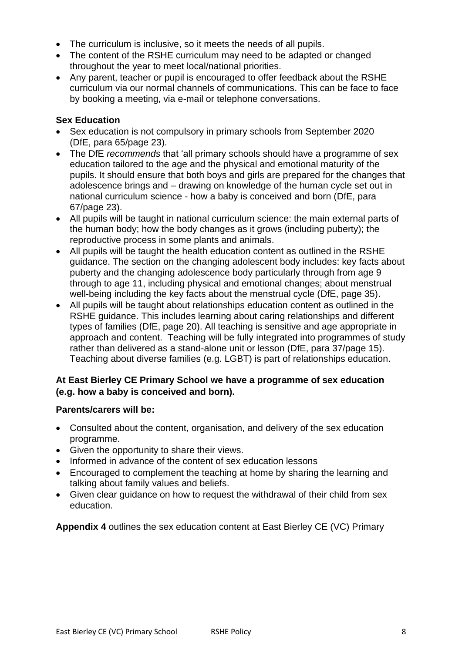- The curriculum is inclusive, so it meets the needs of all pupils.
- The content of the RSHE curriculum may need to be adapted or changed throughout the year to meet local/national priorities.
- Any parent, teacher or pupil is encouraged to offer feedback about the RSHE curriculum via our normal channels of communications. This can be face to face by booking a meeting, via e-mail or telephone conversations.

#### **Sex Education**

- Sex education is not compulsory in primary schools from September 2020 (DfE, para 65/page 23).
- The DfE *recommends* that 'all primary schools should have a programme of sex education tailored to the age and the physical and emotional maturity of the pupils. It should ensure that both boys and girls are prepared for the changes that adolescence brings and – drawing on knowledge of the human cycle set out in national curriculum science - how a baby is conceived and born (DfE, para 67/page 23).
- All pupils will be taught in national curriculum science: the main external parts of the human body; how the body changes as it grows (including puberty); the reproductive process in some plants and animals.
- All pupils will be taught the health education content as outlined in the RSHE guidance. The section on the changing adolescent body includes: key facts about puberty and the changing adolescence body particularly through from age 9 through to age 11, including physical and emotional changes; about menstrual well-being including the key facts about the menstrual cycle (DfE, page 35).
- All pupils will be taught about relationships education content as outlined in the RSHE guidance. This includes learning about caring relationships and different types of families (DfE, page 20). All teaching is sensitive and age appropriate in approach and content. Teaching will be fully integrated into programmes of study rather than delivered as a stand-alone unit or lesson (DfE, para 37/page 15). Teaching about diverse families (e.g. LGBT) is part of relationships education.

#### **At East Bierley CE Primary School we have a programme of sex education (e.g. how a baby is conceived and born).**

#### **Parents/carers will be:**

- Consulted about the content, organisation, and delivery of the sex education programme.
- Given the opportunity to share their views.
- Informed in advance of the content of sex education lessons
- Encouraged to complement the teaching at home by sharing the learning and talking about family values and beliefs.
- Given clear guidance on how to request the withdrawal of their child from sex education.

**Appendix 4** outlines the sex education content at East Bierley CE (VC) Primary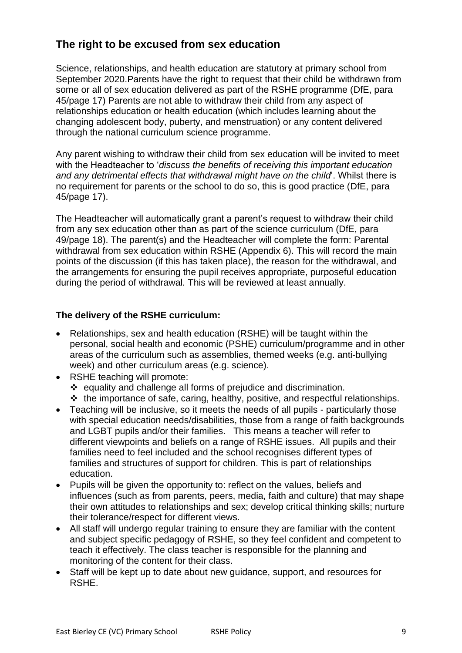## **The right to be excused from sex education**

Science, relationships, and health education are statutory at primary school from September 2020.Parents have the right to request that their child be withdrawn from some or all of sex education delivered as part of the RSHE programme (DfE, para 45/page 17) Parents are not able to withdraw their child from any aspect of relationships education or health education (which includes learning about the changing adolescent body, puberty, and menstruation) or any content delivered through the national curriculum science programme.

Any parent wishing to withdraw their child from sex education will be invited to meet with the Headteacher to '*discuss the benefits of receiving this important education and any detrimental effects that withdrawal might have on the child*'. Whilst there is no requirement for parents or the school to do so, this is good practice (DfE, para 45/page 17).

The Headteacher will automatically grant a parent's request to withdraw their child from any sex education other than as part of the science curriculum (DfE, para 49/page 18). The parent(s) and the Headteacher will complete the form: Parental withdrawal from sex education within RSHE (Appendix 6). This will record the main points of the discussion (if this has taken place), the reason for the withdrawal, and the arrangements for ensuring the pupil receives appropriate, purposeful education during the period of withdrawal*.* This will be reviewed at least annually.

#### **The delivery of the RSHE curriculum:**

- Relationships, sex and health education (RSHE) will be taught within the personal, social health and economic (PSHE) curriculum/programme and in other areas of the curriculum such as assemblies, themed weeks (e.g. anti-bullying week) and other curriculum areas (e.g. science).
- RSHE teaching will promote: ❖ equality and challenge all forms of prejudice and discrimination. ❖ the importance of safe, caring, healthy, positive, and respectful relationships.
- Teaching will be inclusive, so it meets the needs of all pupils particularly those with special education needs/disabilities, those from a range of faith backgrounds and LGBT pupils and/or their families. This means a teacher will refer to different viewpoints and beliefs on a range of RSHE issues. All pupils and their families need to feel included and the school recognises different types of families and structures of support for children. This is part of relationships education.
- Pupils will be given the opportunity to: reflect on the values, beliefs and influences (such as from parents, peers, media, faith and culture) that may shape their own attitudes to relationships and sex; develop critical thinking skills; nurture their tolerance/respect for different views.
- All staff will undergo regular training to ensure they are familiar with the content and subject specific pedagogy of RSHE, so they feel confident and competent to teach it effectively. The class teacher is responsible for the planning and monitoring of the content for their class.
- Staff will be kept up to date about new guidance, support, and resources for RSHE.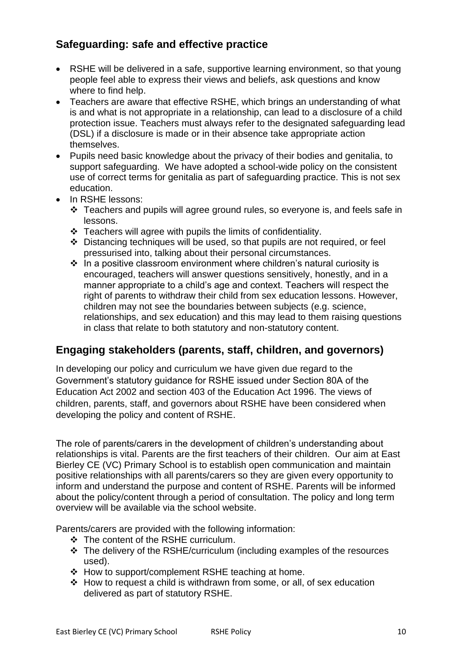## **Safeguarding: safe and effective practice**

- RSHE will be delivered in a safe, supportive learning environment, so that young people feel able to express their views and beliefs, ask questions and know where to find help.
- Teachers are aware that effective RSHE, which brings an understanding of what is and what is not appropriate in a relationship, can lead to a disclosure of a child protection issue. Teachers must always refer to the designated safeguarding lead (DSL) if a disclosure is made or in their absence take appropriate action themselves.
- Pupils need basic knowledge about the privacy of their bodies and genitalia, to support safeguarding. We have adopted a school-wide policy on the consistent use of correct terms for genitalia as part of safeguarding practice. This is not sex education.
- In RSHE lessons:
	- ❖ Teachers and pupils will agree ground rules, so everyone is, and feels safe in lessons.
	- ❖ Teachers will agree with pupils the limits of confidentiality.
	- ❖ Distancing techniques will be used, so that pupils are not required, or feel pressurised into, talking about their personal circumstances.
	- ❖ In a positive classroom environment where children's natural curiosity is encouraged, teachers will answer questions sensitively, honestly, and in a manner appropriate to a child's age and context. Teachers will respect the right of parents to withdraw their child from sex education lessons. However, children may not see the boundaries between subjects (e.g. science, relationships, and sex education) and this may lead to them raising questions in class that relate to both statutory and non-statutory content.

## **Engaging stakeholders (parents, staff, children, and governors)**

In developing our policy and curriculum we have given due regard to the Government's statutory guidance for RSHE issued under Section 80A of the Education Act 2002 and section 403 of the Education Act 1996. The views of children, parents, staff, and governors about RSHE have been considered when developing the policy and content of RSHE.

The role of parents/carers in the development of children's understanding about relationships is vital. Parents are the first teachers of their children. Our aim at East Bierley CE (VC) Primary School is to establish open communication and maintain positive relationships with all parents/carers so they are given every opportunity to inform and understand the purpose and content of RSHE. Parents will be informed about the policy/content through a period of consultation. The policy and long term overview will be available via the school website.

Parents/carers are provided with the following information:

- ❖ The content of the RSHE curriculum.
- ❖ The delivery of the RSHE/curriculum (including examples of the resources used).
- ❖ How to support/complement RSHE teaching at home.
- ❖ How to request a child is withdrawn from some, or all, of sex education delivered as part of statutory RSHE.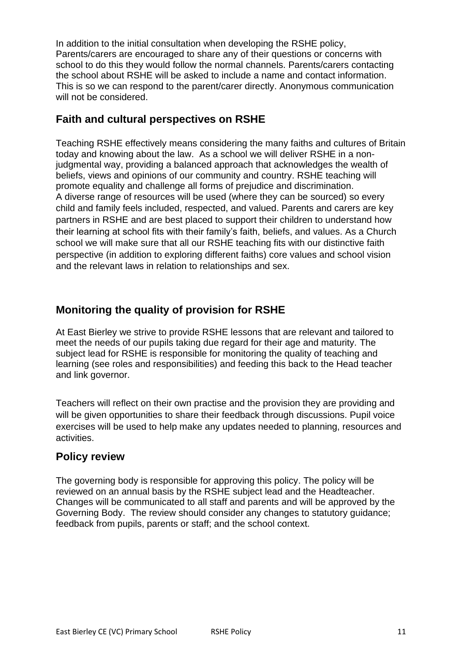In addition to the initial consultation when developing the RSHE policy, Parents/carers are encouraged to share any of their questions or concerns with school to do this they would follow the normal channels. Parents/carers contacting the school about RSHE will be asked to include a name and contact information. This is so we can respond to the parent/carer directly. Anonymous communication will not be considered.

## **Faith and cultural perspectives on RSHE**

Teaching RSHE effectively means considering the many faiths and cultures of Britain today and knowing about the law. As a school we will deliver RSHE in a nonjudgmental way, providing a balanced approach that acknowledges the wealth of beliefs, views and opinions of our community and country. RSHE teaching will promote equality and challenge all forms of prejudice and discrimination. A diverse range of resources will be used (where they can be sourced) so every child and family feels included, respected, and valued. Parents and carers are key partners in RSHE and are best placed to support their children to understand how their learning at school fits with their family's faith, beliefs, and values. As a Church school we will make sure that all our RSHE teaching fits with our distinctive faith perspective (in addition to exploring different faiths) core values and school vision and the relevant laws in relation to relationships and sex.

## **Monitoring the quality of provision for RSHE**

At East Bierley we strive to provide RSHE lessons that are relevant and tailored to meet the needs of our pupils taking due regard for their age and maturity. The subject lead for RSHE is responsible for monitoring the quality of teaching and learning (see roles and responsibilities) and feeding this back to the Head teacher and link governor.

Teachers will reflect on their own practise and the provision they are providing and will be given opportunities to share their feedback through discussions. Pupil voice exercises will be used to help make any updates needed to planning, resources and activities.

## **Policy review**

The governing body is responsible for approving this policy. The policy will be reviewed on an annual basis by the RSHE subject lead and the Headteacher. Changes will be communicated to all staff and parents and will be approved by the Governing Body. The review should consider any changes to statutory guidance; feedback from pupils, parents or staff; and the school context.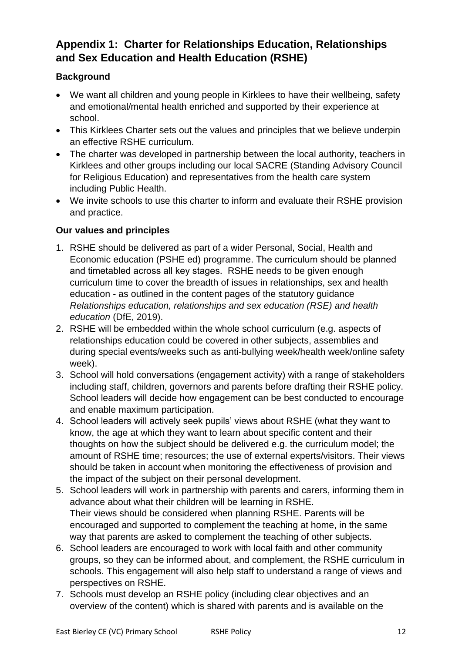## **Appendix 1: Charter for Relationships Education, Relationships and Sex Education and Health Education (RSHE)**

#### **Background**

- We want all children and young people in Kirklees to have their wellbeing, safety and emotional/mental health enriched and supported by their experience at school.
- This Kirklees Charter sets out the values and principles that we believe underpin an effective RSHE curriculum.
- The charter was developed in partnership between the local authority, teachers in Kirklees and other groups including our local SACRE (Standing Advisory Council for Religious Education) and representatives from the health care system including Public Health.
- We invite schools to use this charter to inform and evaluate their RSHE provision and practice.

#### **Our values and principles**

- 1. RSHE should be delivered as part of a wider Personal, Social, Health and Economic education (PSHE ed) programme. The curriculum should be planned and timetabled across all key stages. RSHE needs to be given enough curriculum time to cover the breadth of issues in relationships, sex and health education - as outlined in the content pages of the statutory guidance *Relationships education, relationships and sex education (RSE) and health education* (DfE, 2019).
- 2. RSHE will be embedded within the whole school curriculum (e.g. aspects of relationships education could be covered in other subjects, assemblies and during special events/weeks such as anti-bullying week/health week/online safety week).
- 3. School will hold conversations (engagement activity) with a range of stakeholders including staff, children, governors and parents before drafting their RSHE policy. School leaders will decide how engagement can be best conducted to encourage and enable maximum participation.
- 4. School leaders will actively seek pupils' views about RSHE (what they want to know, the age at which they want to learn about specific content and their thoughts on how the subject should be delivered e.g. the curriculum model; the amount of RSHE time; resources; the use of external experts/visitors. Their views should be taken in account when monitoring the effectiveness of provision and the impact of the subject on their personal development.
- 5. School leaders will work in partnership with parents and carers, informing them in advance about what their children will be learning in RSHE. Their views should be considered when planning RSHE. Parents will be encouraged and supported to complement the teaching at home, in the same way that parents are asked to complement the teaching of other subjects.
- 6. School leaders are encouraged to work with local faith and other community groups, so they can be informed about, and complement, the RSHE curriculum in schools. This engagement will also help staff to understand a range of views and perspectives on RSHE.
- 7. Schools must develop an RSHE policy (including clear objectives and an overview of the content) which is shared with parents and is available on the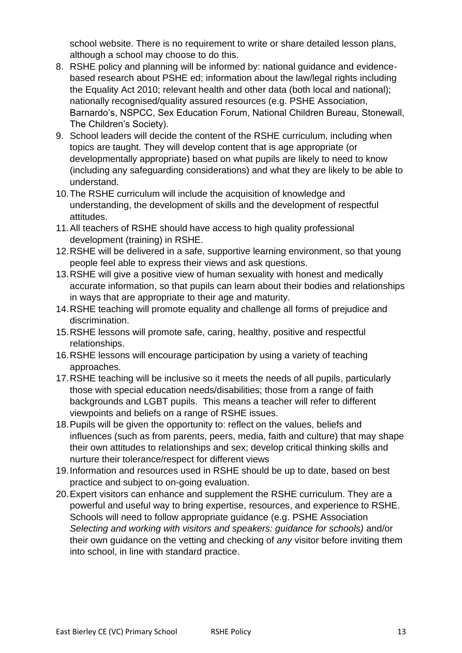school website. There is no requirement to write or share detailed lesson plans, although a school may choose to do this.

- 8. RSHE policy and planning will be informed by: national guidance and evidencebased research about PSHE ed; information about the law/legal rights including the Equality Act 2010; relevant health and other data (both local and national); nationally recognised/quality assured resources (e.g. PSHE Association, Barnardo's, NSPCC, Sex Education Forum, National Children Bureau, Stonewall, The Children's Society).
- 9. School leaders will decide the content of the RSHE curriculum, including when topics are taught. They will develop content that is age appropriate (or developmentally appropriate) based on what pupils are likely to need to know (including any safeguarding considerations) and what they are likely to be able to understand.
- 10.The RSHE curriculum will include the acquisition of knowledge and understanding, the development of skills and the development of respectful attitudes.
- 11.All teachers of RSHE should have access to high quality professional development (training) in RSHE.
- 12.RSHE will be delivered in a safe, supportive learning environment, so that young people feel able to express their views and ask questions.
- 13.RSHE will give a positive view of human sexuality with honest and medically accurate information, so that pupils can learn about their bodies and relationships in ways that are appropriate to their age and maturity.
- 14.RSHE teaching will promote equality and challenge all forms of prejudice and discrimination.
- 15.RSHE lessons will promote safe, caring, healthy, positive and respectful relationships.
- 16.RSHE lessons will encourage participation by using a variety of teaching approaches.
- 17.RSHE teaching will be inclusive so it meets the needs of all pupils, particularly those with special education needs/disabilities; those from a range of faith backgrounds and LGBT pupils. This means a teacher will refer to different viewpoints and beliefs on a range of RSHE issues.
- 18.Pupils will be given the opportunity to: reflect on the values, beliefs and influences (such as from parents, peers, media, faith and culture) that may shape their own attitudes to relationships and sex; develop critical thinking skills and nurture their tolerance/respect for different views
- 19.Information and resources used in RSHE should be up to date, based on best practice and subject to on-going evaluation.
- 20.Expert visitors can enhance and supplement the RSHE curriculum. They are a powerful and useful way to bring expertise, resources, and experience to RSHE. Schools will need to follow appropriate guidance (e.g. PSHE Association *Selecting and working with visitors and speakers: guidance for schools)* and/or their own guidance on the vetting and checking of *any* visitor before inviting them into school, in line with standard practice.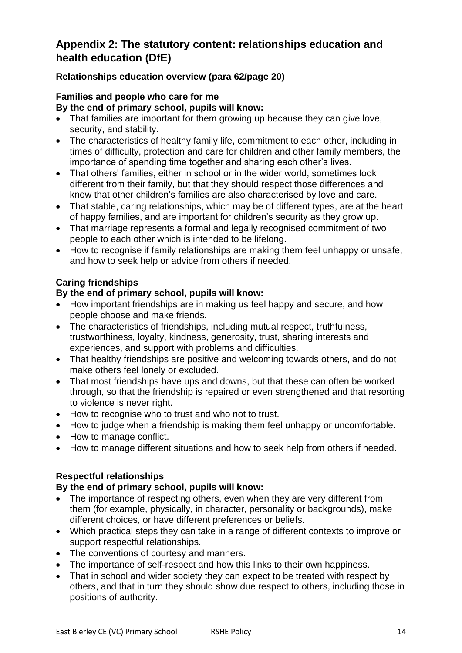## **Appendix 2: The statutory content: relationships education and health education (DfE)**

#### **Relationships education overview (para 62/page 20)**

#### **Families and people who care for me By the end of primary school, pupils will know:**

- That families are important for them growing up because they can give love, security, and stability.
- The characteristics of healthy family life, commitment to each other, including in times of difficulty, protection and care for children and other family members, the importance of spending time together and sharing each other's lives.
- That others' families, either in school or in the wider world, sometimes look different from their family, but that they should respect those differences and know that other children's families are also characterised by love and care.
- That stable, caring relationships, which may be of different types, are at the heart of happy families, and are important for children's security as they grow up.
- That marriage represents a formal and legally recognised commitment of two people to each other which is intended to be lifelong.
- How to recognise if family relationships are making them feel unhappy or unsafe, and how to seek help or advice from others if needed.

#### **Caring friendships**

#### **By the end of primary school, pupils will know:**

- How important friendships are in making us feel happy and secure, and how people choose and make friends.
- The characteristics of friendships, including mutual respect, truthfulness, trustworthiness, loyalty, kindness, generosity, trust, sharing interests and experiences, and support with problems and difficulties.
- That healthy friendships are positive and welcoming towards others, and do not make others feel lonely or excluded.
- That most friendships have ups and downs, but that these can often be worked through, so that the friendship is repaired or even strengthened and that resorting to violence is never right.
- How to recognise who to trust and who not to trust.
- How to judge when a friendship is making them feel unhappy or uncomfortable.
- How to manage conflict.
- How to manage different situations and how to seek help from others if needed.

#### **Respectful relationships**

#### **By the end of primary school, pupils will know:**

- The importance of respecting others, even when they are very different from them (for example, physically, in character, personality or backgrounds), make different choices, or have different preferences or beliefs.
- Which practical steps they can take in a range of different contexts to improve or support respectful relationships.
- The conventions of courtesy and manners.
- The importance of self-respect and how this links to their own happiness.
- That in school and wider society they can expect to be treated with respect by others, and that in turn they should show due respect to others, including those in positions of authority.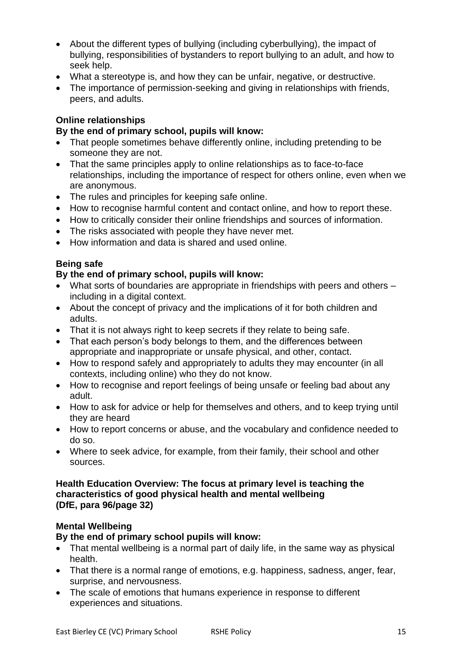- About the different types of bullying (including cyberbullying), the impact of bullying, responsibilities of bystanders to report bullying to an adult, and how to seek help.
- What a stereotype is, and how they can be unfair, negative, or destructive.
- The importance of permission-seeking and giving in relationships with friends, peers, and adults.

#### **Online relationships**

#### **By the end of primary school, pupils will know:**

- That people sometimes behave differently online, including pretending to be someone they are not.
- That the same principles apply to online relationships as to face-to-face relationships, including the importance of respect for others online, even when we are anonymous.
- The rules and principles for keeping safe online.
- How to recognise harmful content and contact online, and how to report these.
- How to critically consider their online friendships and sources of information.
- The risks associated with people they have never met.
- How information and data is shared and used online.

#### **Being safe**

#### **By the end of primary school, pupils will know:**

- What sorts of boundaries are appropriate in friendships with peers and others including in a digital context.
- About the concept of privacy and the implications of it for both children and adults.
- That it is not always right to keep secrets if they relate to being safe.
- That each person's body belongs to them, and the differences between appropriate and inappropriate or unsafe physical, and other, contact.
- How to respond safely and appropriately to adults they may encounter (in all contexts, including online) who they do not know.
- How to recognise and report feelings of being unsafe or feeling bad about any adult.
- How to ask for advice or help for themselves and others, and to keep trying until they are heard
- How to report concerns or abuse, and the vocabulary and confidence needed to do so.
- Where to seek advice, for example, from their family, their school and other sources.

#### **Health Education Overview: The focus at primary level is teaching the characteristics of good physical health and mental wellbeing (DfE, para 96/page 32)**

#### **Mental Wellbeing**

#### **By the end of primary school pupils will know:**

- That mental wellbeing is a normal part of daily life, in the same way as physical health.
- That there is a normal range of emotions, e.g. happiness, sadness, anger, fear, surprise, and nervousness.
- The scale of emotions that humans experience in response to different experiences and situations.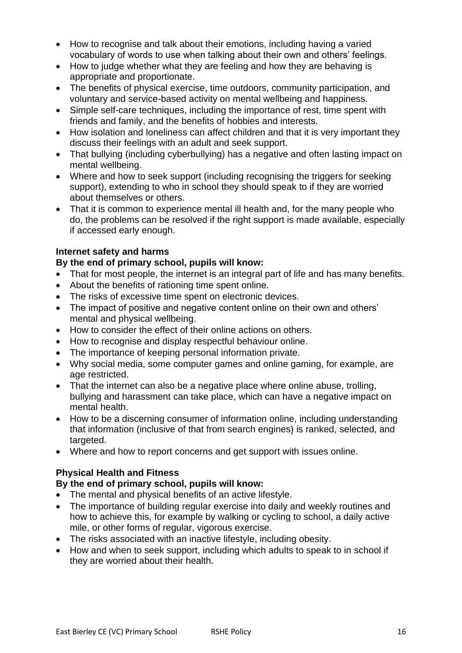- How to recognise and talk about their emotions, including having a varied vocabulary of words to use when talking about their own and others' feelings.
- How to judge whether what they are feeling and how they are behaving is appropriate and proportionate.
- The benefits of physical exercise, time outdoors, community participation, and voluntary and service-based activity on mental wellbeing and happiness.
- Simple self-care techniques, including the importance of rest, time spent with friends and family, and the benefits of hobbies and interests.
- How isolation and loneliness can affect children and that it is very important they discuss their feelings with an adult and seek support.
- That bullying (including cyberbullying) has a negative and often lasting impact on mental wellbeing.
- Where and how to seek support (including recognising the triggers for seeking support), extending to who in school they should speak to if they are worried about themselves or others.
- That it is common to experience mental ill health and, for the many people who do, the problems can be resolved if the right support is made available, especially if accessed early enough.

#### **Internet safety and harms**

#### **By the end of primary school, pupils will know:**

- That for most people, the internet is an integral part of life and has many benefits.
- About the benefits of rationing time spent online.
- The risks of excessive time spent on electronic devices.
- The impact of positive and negative content online on their own and others' mental and physical wellbeing.
- How to consider the effect of their online actions on others.
- How to recognise and display respectful behaviour online.
- The importance of keeping personal information private.
- Why social media, some computer games and online gaming, for example, are age restricted.
- That the internet can also be a negative place where online abuse, trolling, bullying and harassment can take place, which can have a negative impact on mental health.
- How to be a discerning consumer of information online, including understanding that information (inclusive of that from search engines) is ranked, selected, and targeted.
- Where and how to report concerns and get support with issues online.

#### **Physical Health and Fitness**

#### **By the end of primary school, pupils will know:**

- The mental and physical benefits of an active lifestyle.
- The importance of building regular exercise into daily and weekly routines and how to achieve this, for example by walking or cycling to school, a daily active mile, or other forms of regular, vigorous exercise.
- The risks associated with an inactive lifestyle, including obesity.
- How and when to seek support, including which adults to speak to in school if they are worried about their health.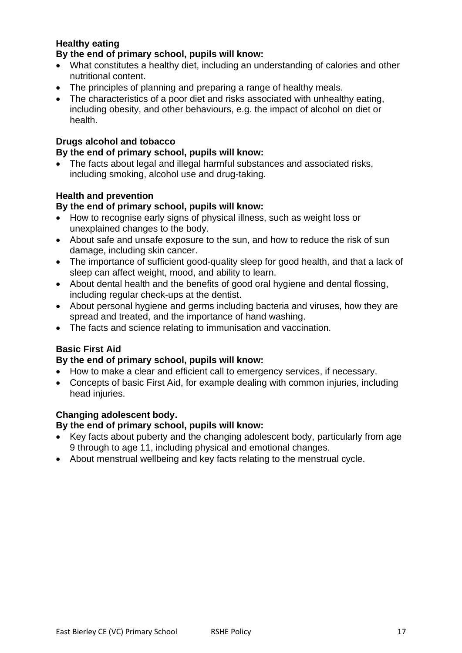## **Healthy eating**

#### **By the end of primary school, pupils will know:**

- What constitutes a healthy diet, including an understanding of calories and other nutritional content.
- The principles of planning and preparing a range of healthy meals.
- The characteristics of a poor diet and risks associated with unhealthy eating, including obesity, and other behaviours, e.g. the impact of alcohol on diet or health.

#### **Drugs alcohol and tobacco**

### **By the end of primary school, pupils will know:**

• The facts about legal and illegal harmful substances and associated risks, including smoking, alcohol use and drug-taking.

#### **Health and prevention**

#### **By the end of primary school, pupils will know:**

- How to recognise early signs of physical illness, such as weight loss or unexplained changes to the body.
- About safe and unsafe exposure to the sun, and how to reduce the risk of sun damage, including skin cancer.
- The importance of sufficient good-quality sleep for good health, and that a lack of sleep can affect weight, mood, and ability to learn.
- About dental health and the benefits of good oral hygiene and dental flossing, including regular check-ups at the dentist.
- About personal hygiene and germs including bacteria and viruses, how they are spread and treated, and the importance of hand washing.
- The facts and science relating to immunisation and vaccination.

#### **Basic First Aid**

#### **By the end of primary school, pupils will know:**

- How to make a clear and efficient call to emergency services, if necessary.
- Concepts of basic First Aid, for example dealing with common injuries, including head injuries.

#### **Changing adolescent body.**

#### **By the end of primary school, pupils will know:**

- Key facts about puberty and the changing adolescent body, particularly from age 9 through to age 11, including physical and emotional changes.
- About menstrual wellbeing and key facts relating to the menstrual cycle.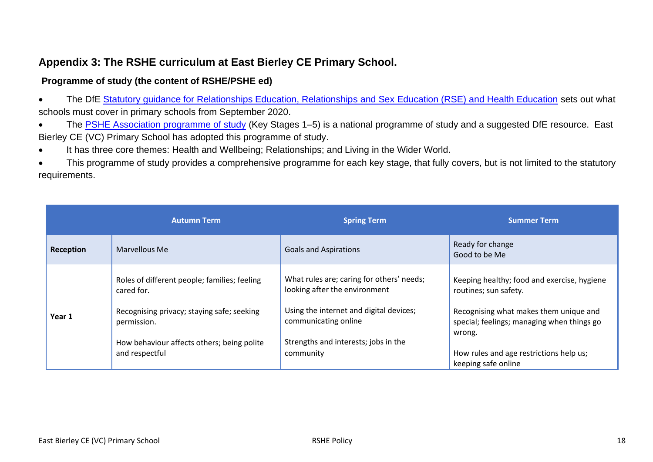## **Appendix 3: The RSHE curriculum at East Bierley CE Primary School.**

#### **Programme of study (the content of RSHE/PSHE ed)**

- The DfE [Statutory guidance for Relationships Education, Relationships and Sex Education \(RSE\) and Health Education](https://www.gov.uk/government/publications/relationships-education-relationships-and-sex-education-rse-and-health-education) sets out what schools must cover in primary schools from September 2020.
- The [PSHE Association programme of study](https://www.pshe-association.org.uk/curriculum-and-resources/resources/programme-study-pshe-education-key-stages-1–5) (Key Stages 1–5) is a national programme of study and a suggested DfE resource. East Bierley CE (VC) Primary School has adopted this programme of study.
- It has three core themes: Health and Wellbeing; Relationships; and Living in the Wider World.
- This programme of study provides a comprehensive programme for each key stage, that fully covers, but is not limited to the statutory requirements.

|           | <b>Autumn Term</b>                                           | <b>Spring Term</b>                                                         | <b>Summer Term</b>                                                                             |
|-----------|--------------------------------------------------------------|----------------------------------------------------------------------------|------------------------------------------------------------------------------------------------|
| Reception | Marvellous Me                                                | <b>Goals and Aspirations</b>                                               | Ready for change<br>Good to be Me                                                              |
|           | Roles of different people; families; feeling<br>cared for.   | What rules are; caring for others' needs;<br>looking after the environment | Keeping healthy; food and exercise, hygiene<br>routines; sun safety.                           |
| Year 1    | Recognising privacy; staying safe; seeking<br>permission.    | Using the internet and digital devices;<br>communicating online            | Recognising what makes them unique and<br>special; feelings; managing when things go<br>wrong. |
|           | How behaviour affects others; being polite<br>and respectful | Strengths and interests; jobs in the<br>community                          | How rules and age restrictions help us;<br>keeping safe online                                 |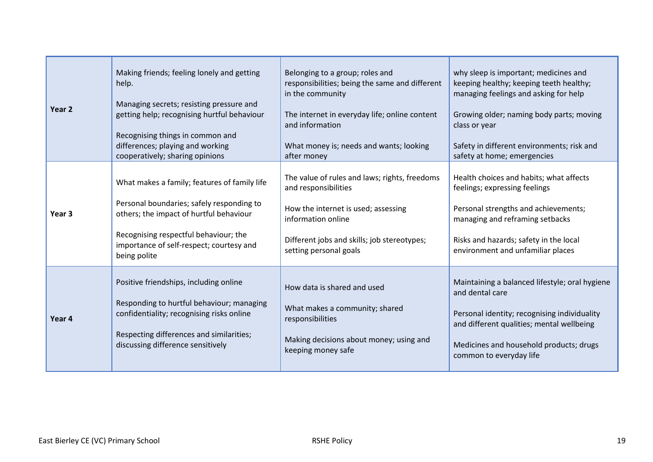| Year 2            | Making friends; feeling lonely and getting                                                                                                                                                                        | Belonging to a group; roles and                                                                                                                    | why sleep is important; medicines and                                                                                                                                                                                                |
|-------------------|-------------------------------------------------------------------------------------------------------------------------------------------------------------------------------------------------------------------|----------------------------------------------------------------------------------------------------------------------------------------------------|--------------------------------------------------------------------------------------------------------------------------------------------------------------------------------------------------------------------------------------|
|                   | help.                                                                                                                                                                                                             | responsibilities; being the same and different                                                                                                     | keeping healthy; keeping teeth healthy;                                                                                                                                                                                              |
|                   | Managing secrets; resisting pressure and                                                                                                                                                                          | in the community                                                                                                                                   | managing feelings and asking for help                                                                                                                                                                                                |
|                   | getting help; recognising hurtful behaviour                                                                                                                                                                       | The internet in everyday life; online content                                                                                                      | Growing older; naming body parts; moving                                                                                                                                                                                             |
|                   | Recognising things in common and                                                                                                                                                                                  | and information                                                                                                                                    | class or year                                                                                                                                                                                                                        |
|                   | differences; playing and working                                                                                                                                                                                  | What money is; needs and wants; looking                                                                                                            | Safety in different environments; risk and                                                                                                                                                                                           |
|                   | cooperatively; sharing opinions                                                                                                                                                                                   | after money                                                                                                                                        | safety at home; emergencies                                                                                                                                                                                                          |
| Year <sub>3</sub> | What makes a family; features of family life                                                                                                                                                                      | The value of rules and laws; rights, freedoms                                                                                                      | Health choices and habits; what affects                                                                                                                                                                                              |
|                   | Personal boundaries; safely responding to                                                                                                                                                                         | and responsibilities                                                                                                                               | feelings; expressing feelings                                                                                                                                                                                                        |
|                   | others; the impact of hurtful behaviour                                                                                                                                                                           | How the internet is used; assessing                                                                                                                | Personal strengths and achievements;                                                                                                                                                                                                 |
|                   | Recognising respectful behaviour; the                                                                                                                                                                             | information online                                                                                                                                 | managing and reframing setbacks                                                                                                                                                                                                      |
|                   | importance of self-respect; courtesy and                                                                                                                                                                          | Different jobs and skills; job stereotypes;                                                                                                        | Risks and hazards; safety in the local                                                                                                                                                                                               |
|                   | being polite                                                                                                                                                                                                      | setting personal goals                                                                                                                             | environment and unfamiliar places                                                                                                                                                                                                    |
| Year 4            | Positive friendships, including online<br>Responding to hurtful behaviour; managing<br>confidentiality; recognising risks online<br>Respecting differences and similarities;<br>discussing difference sensitively | How data is shared and used<br>What makes a community; shared<br>responsibilities<br>Making decisions about money; using and<br>keeping money safe | Maintaining a balanced lifestyle; oral hygiene<br>and dental care<br>Personal identity; recognising individuality<br>and different qualities; mental wellbeing<br>Medicines and household products; drugs<br>common to everyday life |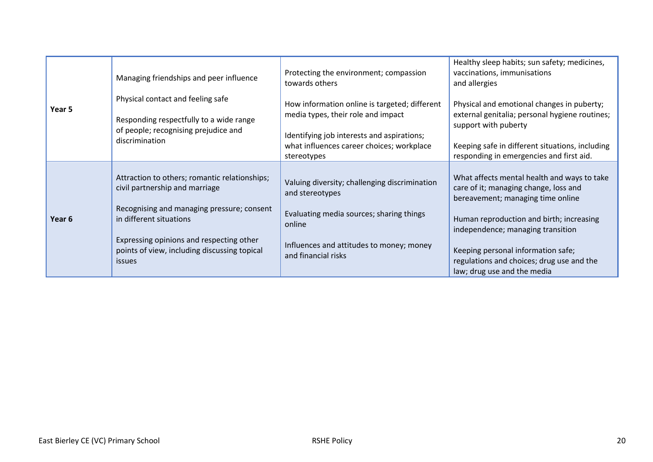| Year 5 | Managing friendships and peer influence<br>Physical contact and feeling safe<br>Responding respectfully to a wide range<br>of people; recognising prejudice and<br>discrimination                                                                                     | Protecting the environment; compassion<br>towards others<br>How information online is targeted; different<br>media types, their role and impact<br>Identifying job interests and aspirations;<br>what influences career choices; workplace<br>stereotypes | Healthy sleep habits; sun safety; medicines,<br>vaccinations, immunisations<br>and allergies<br>Physical and emotional changes in puberty;<br>external genitalia; personal hygiene routines;<br>support with puberty<br>Keeping safe in different situations, including<br>responding in emergencies and first aid.          |
|--------|-----------------------------------------------------------------------------------------------------------------------------------------------------------------------------------------------------------------------------------------------------------------------|-----------------------------------------------------------------------------------------------------------------------------------------------------------------------------------------------------------------------------------------------------------|------------------------------------------------------------------------------------------------------------------------------------------------------------------------------------------------------------------------------------------------------------------------------------------------------------------------------|
| Year 6 | Attraction to others; romantic relationships;<br>civil partnership and marriage<br>Recognising and managing pressure; consent<br>in different situations<br>Expressing opinions and respecting other<br>points of view, including discussing topical<br><i>issues</i> | Valuing diversity; challenging discrimination<br>and stereotypes<br>Evaluating media sources; sharing things<br>online<br>Influences and attitudes to money; money<br>and financial risks                                                                 | What affects mental health and ways to take<br>care of it; managing change, loss and<br>bereavement; managing time online<br>Human reproduction and birth; increasing<br>independence; managing transition<br>Keeping personal information safe;<br>regulations and choices; drug use and the<br>law; drug use and the media |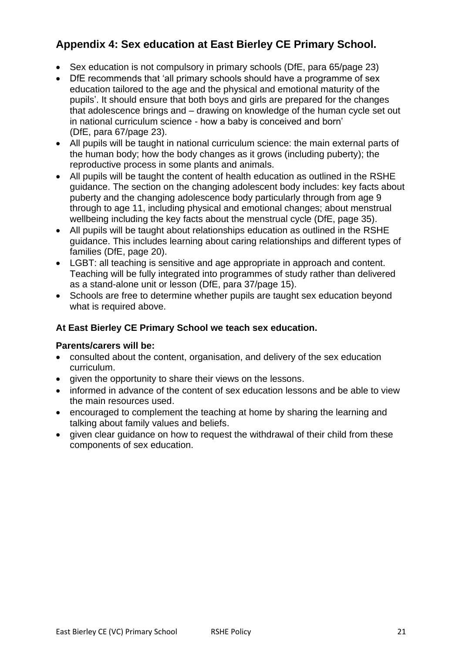## **Appendix 4: Sex education at East Bierley CE Primary School.**

- Sex education is not compulsory in primary schools (DfE, para 65/page 23)
- DfE recommends that 'all primary schools should have a programme of sex education tailored to the age and the physical and emotional maturity of the pupils'. It should ensure that both boys and girls are prepared for the changes that adolescence brings and – drawing on knowledge of the human cycle set out in national curriculum science - how a baby is conceived and born' (DfE, para 67/page 23).
- All pupils will be taught in national curriculum science: the main external parts of the human body; how the body changes as it grows (including puberty); the reproductive process in some plants and animals.
- All pupils will be taught the content of health education as outlined in the RSHE guidance. The section on the changing adolescent body includes: key facts about puberty and the changing adolescence body particularly through from age 9 through to age 11, including physical and emotional changes; about menstrual wellbeing including the key facts about the menstrual cycle (DfE, page 35).
- All pupils will be taught about relationships education as outlined in the RSHE guidance. This includes learning about caring relationships and different types of families (DfE, page 20).
- LGBT: all teaching is sensitive and age appropriate in approach and content. Teaching will be fully integrated into programmes of study rather than delivered as a stand-alone unit or lesson (DfE, para 37/page 15).
- Schools are free to determine whether pupils are taught sex education beyond what is required above.

#### **At East Bierley CE Primary School we teach sex education.**

#### **Parents/carers will be:**

- consulted about the content, organisation, and delivery of the sex education curriculum.
- given the opportunity to share their views on the lessons.
- informed in advance of the content of sex education lessons and be able to view the main resources used.
- encouraged to complement the teaching at home by sharing the learning and talking about family values and beliefs.
- given clear guidance on how to request the withdrawal of their child from these components of sex education.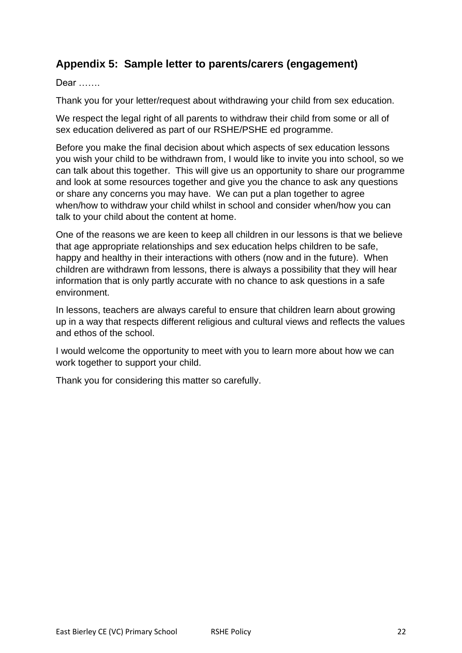## **Appendix 5: Sample letter to parents/carers (engagement)**

#### Dear …….

Thank you for your letter/request about withdrawing your child from sex education.

We respect the legal right of all parents to withdraw their child from some or all of sex education delivered as part of our RSHE/PSHE ed programme.

Before you make the final decision about which aspects of sex education lessons you wish your child to be withdrawn from, I would like to invite you into school, so we can talk about this together. This will give us an opportunity to share our programme and look at some resources together and give you the chance to ask any questions or share any concerns you may have. We can put a plan together to agree when/how to withdraw your child whilst in school and consider when/how you can talk to your child about the content at home.

One of the reasons we are keen to keep all children in our lessons is that we believe that age appropriate relationships and sex education helps children to be safe, happy and healthy in their interactions with others (now and in the future). When children are withdrawn from lessons, there is always a possibility that they will hear information that is only partly accurate with no chance to ask questions in a safe environment.

In lessons, teachers are always careful to ensure that children learn about growing up in a way that respects different religious and cultural views and reflects the values and ethos of the school.

I would welcome the opportunity to meet with you to learn more about how we can work together to support your child.

Thank you for considering this matter so carefully.